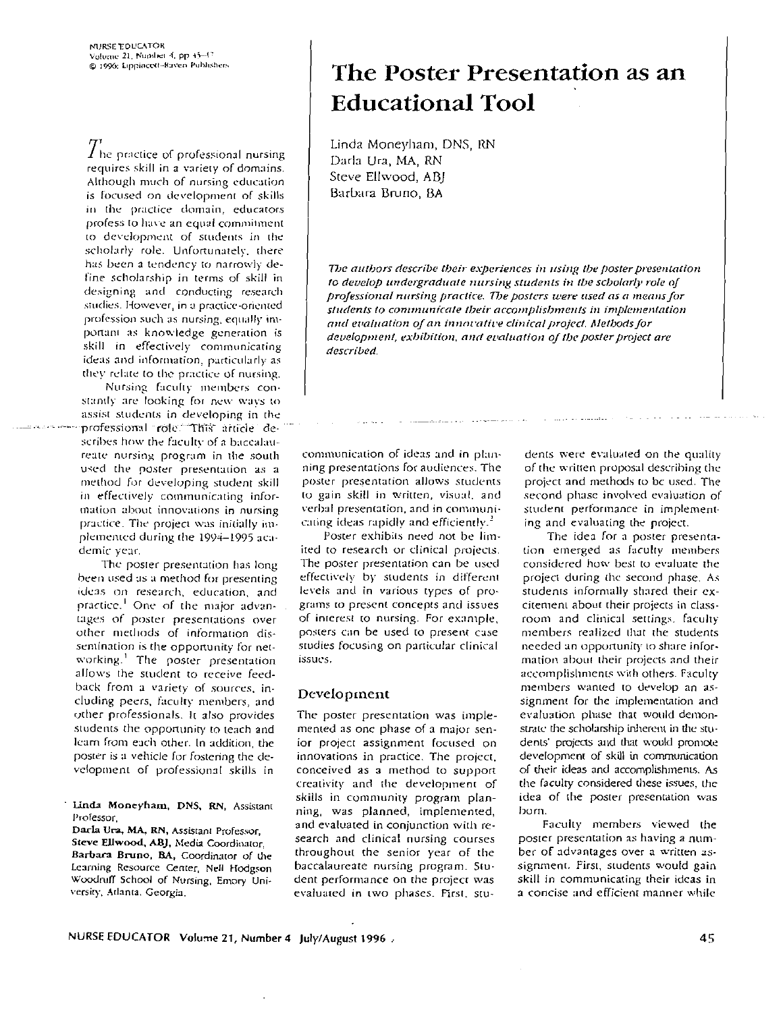$\overline{T}$ he practice of professional nursing requires skill in a variety of domains. Although much of nursing education is focused on development of skills in the practice domain, educators profess to have an equal commitment to development of students in the scholarly role. Unfortunately, there has been a tendency to narrowly define scholarship in terms of skill in designing and conducting research studies. However, in a practice-oriented profession such as nursing, equally important as knowledge generation is skill in effectively communicating ideas and information, particularly as they relate to the practice of nursing.

Nursing faculty members constandy are looking for new ways to assist students in developing in the professional role. This article describes how the faculty of a baccalaureate nursing program in the south used the poster presentation as a method for developing student skill in effectively communicating information about innovations in nursing practice. The project was initially implemented during the 1994-1995 academic year.

The poster presentation has long been used as a method for presenting ideas on research, education, and practice.<sup>1</sup> One of the major advantages of poster presentations over other methods of information dissemination is the opportunity for networking.<sup>1</sup> The poster presentation allows the student to receive feedback from a variety of sources, including peers, faculty members, and other professionals. It also provides students the opportunity to teach and learn from each other. In addition, the poster is a vehicle for fostering the development of professional skills in

Linda Moneyham, DNS, RN, Assistant Professor,

Darla Ura, MA, RN, Assistant Professor, Steve Ellwood, ABJ, Media Coordinator, Barbara Bruno, BA, Coordinator of the Learning Resource Center, Nell Hodgson Woodruff School of Nursing, Emory University, Atlanta, Georgia.

# The Poster Presentation as an **Educational Tool**

Linda Moneyham, DNS, RN Darla Ura, MA, RN Steve Ellwood, ABJ Barbara Bruno, BA

The authors describe their experiences in using the poster presentation to develop undergraduate nursing students in the scholarly role of professional nursing practice. The posters were used as a means for students to communicate their accomplishments in implementation and evaluation of an innovative clinical project. Methods for development, exhibition, and evaluation of the poster project are described.

communication of ideas and in planning presentations for audiences. The poster presentation allows students to gain skill in written, visual, and verbal presentation, and in communicating ideas rapidly and efficiently.<sup>2</sup>

Poster exhibits need not be limited to research or clinical projects. The poster presentation can be used effectively by students in different levels and in various types of programs to present concepts and issues of interest to nursing. For example, posters can be used to present case studies focusing on particular clinical issues.

#### Development

The poster presentation was implemented as one phase of a major senior project assignment focused on innovations in practice. The project, conceived as a method to support creativity and the development of skills in community program planning, was planned, implemented, and evaluated in conjunction with research and clinical nursing courses throughout the senior year of the baccalaureate nursing program. Student performance on the project was evaluated in two phases. First, stu-

dents were evaluated on the quality of the written proposal describing the project and methods to be used. The second phase involved evaluation of student performance in implementing and evaluating the project.

and a series and a construction

The idea for a poster presentation emerged as faculty members considered how best to evaluate the project during the second phase. As students informally shared their excitement about their projects in classroom and clinical settings, faculty members realized that the students needed an opportunity to share information about their projects and their accomplishments with others. Faculty members wanted to develop an assignment for the implementation and evaluation phase that would demonstrate the scholarship inherent in the students' projects and that would promote development of skill in communication of their ideas and accomplishments. As the faculty considered these issues, the idea of the poster presentation was born.

Faculty members viewed the poster presentation as having a number of advantages over a written assignment. First, students would gain skill in communicating their ideas in a concise and efficient manner while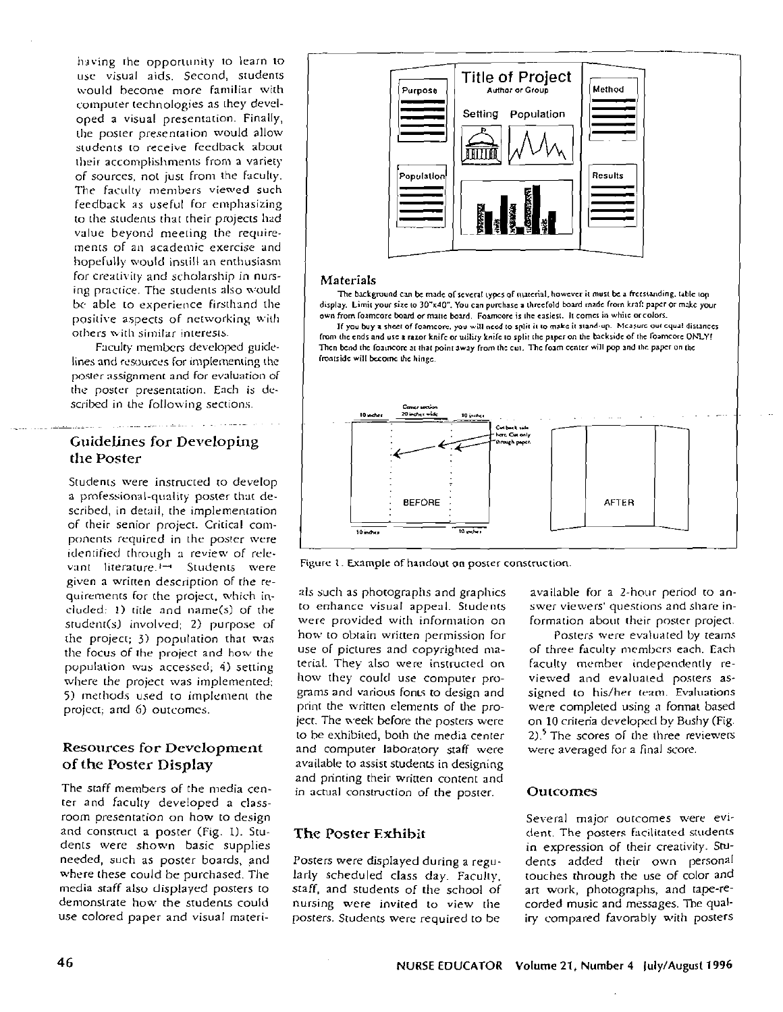having the opportunity to learn to use visual aids. Second, students would become more familiar with computer technologies as they developed a visual presentation. Finally, the poster presentation would allow students to receive feedback about their accomplishments from a variety of sources, not just from the faculty. The faculty members viewed such feedback as useful for emphasizing to the students that their projects had value beyond meeting the requirements of an academic exercise and hopefully would instill an enthusiasm for creativity and scholarship in nursing practice. The students also would be able to experience firsthand the positive aspects of networking with others with similar interests.

Faculty members developed guidelines and resources for implementing the poster assignment and for evaluation of the poster presentation. Each is described in the following sections.

# Guidelines for Developing the Poster

Students were instructed to develop a professional-quality poster that described, in detail, the implementation of their senior project. Critical components required in the poster were identified through a review of relevant literature.<sup>1-4</sup> Students were given a written description of the requirements for the project, which included: 1) title and name(s) of the student(s) involved; 2) purpose of the project; 3) population that was the focus of the project and how the population was accessed; 4) setting where the project was implemented: 5) methods used to implement the project: and 6) outcomes.

# Resources for Development of the Poster Display

The staff members of the media center and faculty developed a classroom presentation on how to design and construct a poster (Fig. 1). Students were shown basic supplies needed, such as poster boards, and where these could be purchased. The media staff also displayed posters to demonstrate how the students could use colored paper and visual materi-



#### Materials

The background can be made of several types of material, however it must be a freestanding, table too display. Limit your size to 30"x40". You can purchase a threefold board made from kraft paper or make your own from foamcore board or matte board. Foamcore is the easiest. It comes in white or colors.



Figure 1. Example of handout on poster construction.

als such as photographs and graphics to enhance visual appeal. Students were provided with information on how to obtain written permission for use of pictures and copyrighted material. They also were instructed on how they could use computer programs and various fonts to design and print the written elements of the project. The week before the posters were to be exhibited, both the media center and computer laboratory staff were available to assist students in designing and printing their written content and in actual construction of the poster.

# The Poster Exhibit

Posters were displayed during a regularly scheduled class day. Faculty, staff, and students of the school of nursing were invited to view the posters. Students were required to be

available for a 2-hour period to answer viewers' questions and share information about their poster project.

Posters were evaluated by teams of three faculty members each. Each faculty member independently reviewed and evaluated posters assigned to his/her team. Evaluations were completed using a format based on 10 criteria developed by Bushy (Fig.  $2$ ).<sup>5</sup> The scores of the three reviewers were averaged for a final score.

### Outcomes

Several major outcomes were evident. The posters facilitated students in expression of their creativity. Students added their own personal touches through the use of color and art work, photographs, and tape-recorded music and messages. The qualiry compared favorably with posters